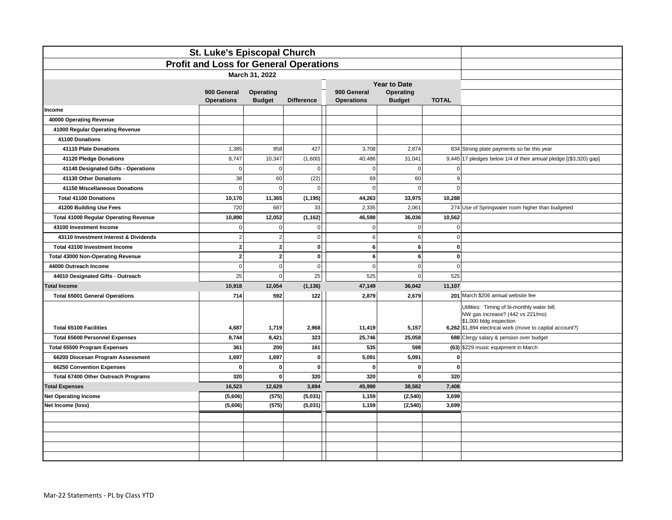| St. Luke's Episcopal Church                   |                                  |                            |                   |                                  |                            |              |                                                                                                                                                                        |  |
|-----------------------------------------------|----------------------------------|----------------------------|-------------------|----------------------------------|----------------------------|--------------|------------------------------------------------------------------------------------------------------------------------------------------------------------------------|--|
| <b>Profit and Loss for General Operations</b> |                                  |                            |                   |                                  |                            |              |                                                                                                                                                                        |  |
|                                               |                                  |                            |                   |                                  |                            |              |                                                                                                                                                                        |  |
|                                               |                                  |                            |                   | <b>Year to Date</b>              |                            |              |                                                                                                                                                                        |  |
|                                               | 900 General<br><b>Operations</b> | Operating<br><b>Budget</b> | <b>Difference</b> | 900 General<br><b>Operations</b> | Operating<br><b>Budget</b> | <b>TOTAL</b> |                                                                                                                                                                        |  |
| Income                                        |                                  |                            |                   |                                  |                            |              |                                                                                                                                                                        |  |
| 40000 Operating Revenue                       |                                  |                            |                   |                                  |                            |              |                                                                                                                                                                        |  |
| 41000 Regular Operating Revenue               |                                  |                            |                   |                                  |                            |              |                                                                                                                                                                        |  |
| 41100 Donations                               |                                  |                            |                   |                                  |                            |              |                                                                                                                                                                        |  |
| 41110 Plate Donations                         | 1,385                            | 958                        | 427               | 3,708                            | 2,874                      |              | 834 Strong plate payments so far this year                                                                                                                             |  |
| 41120 Pledge Donations                        | 8,747                            | 10,347                     | (1,600)           | 40,486                           | 31,041                     |              | 9,445 17 pledges below 1/4 of their annual pledge [(\$3,320) gap]                                                                                                      |  |
| 41140 Designated Gifts - Operations           | $\Omega$                         | $\Omega$                   | $\mathbf 0$       | $\Omega$                         | $\mathbf 0$                | $\Omega$     |                                                                                                                                                                        |  |
| 41130 Other Donations                         | 38                               | 60                         | (22)              | 69                               | 60                         | 9            |                                                                                                                                                                        |  |
| 41150 Miscellaneous Donations                 | $\Omega$                         | $\Omega$                   | $\Omega$          | $\Omega$                         | $\mathbf 0$                | $\Omega$     |                                                                                                                                                                        |  |
| <b>Total 41100 Donations</b>                  | 10,170                           | 11,365                     | (1, 195)          | 44,263                           | 33,975                     | 10,288       |                                                                                                                                                                        |  |
| 41200 Building Use Fees                       | 720                              | 687                        | 33                | 2,335                            | 2,061                      |              | 274 Use of Springwater room higher than budgeted                                                                                                                       |  |
| <b>Total 41000 Regular Operating Revenue</b>  | 10,890                           | 12,052                     | (1, 162)          | 46,598                           | 36,036                     | 10,562       |                                                                                                                                                                        |  |
| 43100 Investment Income                       | $\Omega$                         | $\mathbf 0$                | $\mathbf 0$       | $\Omega$                         | $\mathbf 0$                | $\Omega$     |                                                                                                                                                                        |  |
| 43110 Investment Interest & Dividends         | 2                                | $\overline{2}$             | $\mathbf 0$       | 6                                | $\,6$                      | $\mathbf 0$  |                                                                                                                                                                        |  |
| Total 43100 Investment Income                 | $\mathbf{2}$                     | $\overline{\mathbf{2}}$    | $\mathbf 0$       | 6                                | $6\phantom{1}$             | $\mathbf 0$  |                                                                                                                                                                        |  |
| <b>Total 43000 Non-Operating Revenue</b>      | $\mathbf{2}$                     | $\overline{2}$             | $\mathbf{0}$      | 6                                | $\bf{6}$                   | $\mathbf 0$  |                                                                                                                                                                        |  |
| 44000 Outreach Income                         | $\Omega$                         | $\mathbf 0$                | 0                 | $\Omega$                         | $\mathbf 0$                | $\Omega$     |                                                                                                                                                                        |  |
| 44010 Designated Gifts - Outreach             | 25                               | $\mathbf 0$                | 25                | 525                              | $\mathbf 0$                | 525          |                                                                                                                                                                        |  |
| <b>Total Income</b>                           | 10,918                           | 12,054                     | (1, 136)          | 47,149                           | 36,042                     | 11,107       |                                                                                                                                                                        |  |
| <b>Total 65001 General Operations</b>         | 714                              | 592                        | 122               | 2.879                            | 2,679                      |              | 201 March \$206 annual website fee                                                                                                                                     |  |
| Total 65100 Facilities                        | 4,687                            | 1,719                      | 2,968             | 11,419                           | 5,157                      |              | Utilities: Timing of bi-monthly water bill;<br>NW gas increase? (442 vs 221/mo)<br>\$1,000 bldg inspection<br>6,262 \$1,894 electrical work (move to capital account?) |  |
| <b>Total 65600 Personnel Expenses</b>         | 8,744                            | 8,421                      | 323               | 25,746                           | 25,058                     |              | 688 Clergy salary & pension over budget                                                                                                                                |  |
| <b>Total 65500 Program Expenses</b>           | 361                              | 200                        | 161               | 535                              | 598                        |              | (63) \$229 music equipment in March                                                                                                                                    |  |
| 66200 Diocesan Program Assessment             | 1,697                            | 1,697                      | $\mathbf{0}$      | 5,091                            | 5,091                      | $\Omega$     |                                                                                                                                                                        |  |
| 66250 Convention Expenses                     | $\mathbf{0}$                     | $\Omega$                   | $\mathbf{0}$      | $\mathbf{0}$                     | $\mathbf 0$                | $\Omega$     |                                                                                                                                                                        |  |
| Total 67400 Other Outreach Programs           | 320                              | $\mathbf{0}$               | 320               | 320                              | $\mathbf 0$                | 320          |                                                                                                                                                                        |  |
| <b>Total Expenses</b>                         | 16,523                           | 12,629                     | 3,894             | 45,990                           | 38,582                     | 7,408        |                                                                                                                                                                        |  |
| <b>Net Operating Income</b>                   | (5,606)                          | (575)                      | (5,031)           | 1,159                            | (2, 540)                   | 3,699        |                                                                                                                                                                        |  |
| Net Income (loss)                             | (5,606)                          | (575)                      | (5,031)           | 1,159                            | (2, 540)                   | 3,699        |                                                                                                                                                                        |  |
|                                               |                                  |                            |                   |                                  |                            |              |                                                                                                                                                                        |  |
|                                               |                                  |                            |                   |                                  |                            |              |                                                                                                                                                                        |  |
|                                               |                                  |                            |                   |                                  |                            |              |                                                                                                                                                                        |  |
|                                               |                                  |                            |                   |                                  |                            |              |                                                                                                                                                                        |  |
|                                               |                                  |                            |                   |                                  |                            |              |                                                                                                                                                                        |  |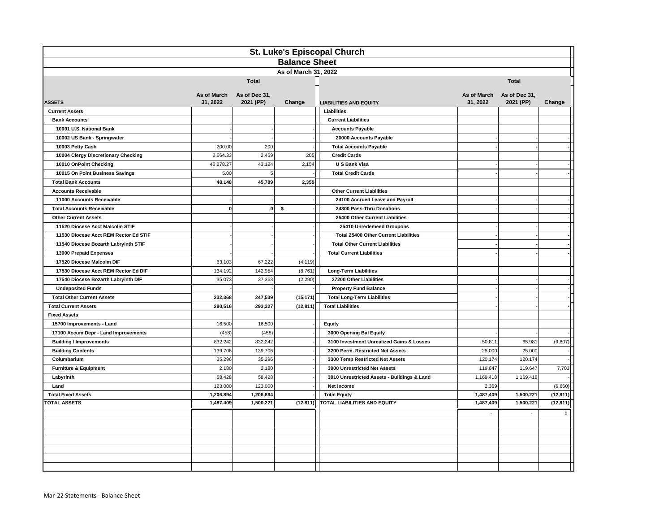| St. Luke's Episcopal Church           |                              |               |           |                                              |           |                           |             |  |
|---------------------------------------|------------------------------|---------------|-----------|----------------------------------------------|-----------|---------------------------|-------------|--|
| <b>Balance Sheet</b>                  |                              |               |           |                                              |           |                           |             |  |
| As of March 31, 2022                  |                              |               |           |                                              |           |                           |             |  |
|                                       | <b>Total</b><br><b>Total</b> |               |           |                                              |           |                           |             |  |
|                                       | As of March                  | As of Dec 31, |           |                                              |           | As of March As of Dec 31, |             |  |
| <b>ASSETS</b>                         | 31, 2022                     | 2021 (PP)     | Change    | <b>LIABILITIES AND EQUITY</b>                | 31, 2022  | 2021 (PP)                 | Change      |  |
| <b>Current Assets</b>                 |                              |               |           | Liabilities                                  |           |                           |             |  |
| <b>Bank Accounts</b>                  |                              |               |           | <b>Current Liabilities</b>                   |           |                           |             |  |
| 10001 U.S. National Bank              |                              |               |           | <b>Accounts Payable</b>                      |           |                           |             |  |
| 10002 US Bank - Springwater           |                              |               |           | 20000 Accounts Payable                       |           |                           |             |  |
| 10003 Petty Cash                      | 200.00                       | 200           |           | <b>Total Accounts Payable</b>                |           |                           |             |  |
| 10004 Clergy Discretionary Checking   | 2,664.33                     | 2,459         | 205       | <b>Credit Cards</b>                          |           |                           |             |  |
| 10010 OnPoint Checking                | 45,278.27                    | 43,124        | 2,154     | U S Bank Visa                                |           |                           |             |  |
| 10015 On Point Business Savings       | 5.00                         | 5             |           | <b>Total Credit Cards</b>                    |           |                           |             |  |
| <b>Total Bank Accounts</b>            | 48,148                       | 45,789        | 2,359     |                                              |           |                           |             |  |
| <b>Accounts Receivable</b>            |                              |               |           | <b>Other Current Liabilities</b>             |           |                           |             |  |
| 11000 Accounts Receivable             |                              |               |           | 24100 Accrued Leave and Payroll              |           |                           |             |  |
| <b>Total Accounts Receivable</b>      | $\mathbf{0}$                 | $\bf{0}$      | \$        | 24300 Pass-Thru Donations                    |           |                           |             |  |
| <b>Other Current Assets</b>           |                              |               |           | 25400 Other Current Liabilities              |           |                           |             |  |
| 11520 Diocese Acct Malcolm STIF       |                              |               |           | 25410 Unredemeed Groupons                    |           |                           |             |  |
| 11530 Diocese Acct REM Rector Ed STIF |                              |               |           | <b>Total 25400 Other Current Liabilities</b> |           |                           |             |  |
| 11540 Diocese Bozarth Labryinth STIF  |                              |               |           | <b>Total Other Current Liabilities</b>       |           |                           |             |  |
| 13000 Prepaid Expenses                |                              |               |           | <b>Total Current Liabilities</b>             |           |                           |             |  |
| 17520 Diocese Malcolm DIF             | 63,103                       | 67,222        | (4, 119)  |                                              |           |                           |             |  |
| 17530 Diocese Acct REM Rector Ed DIF  | 134,192                      | 142,954       | (8,761)   | <b>Long-Term Liabilities</b>                 |           |                           |             |  |
| 17540 Diocese Bozarth Labryinth DIF   | 35,073                       | 37,363        | (2,290)   | 27200 Other Liabilities                      |           |                           |             |  |
| <b>Undeposited Funds</b>              |                              |               |           | <b>Property Fund Balance</b>                 |           |                           |             |  |
| <b>Total Other Current Assets</b>     | 232,368                      | 247,539       | (15, 171) | <b>Total Long-Term Liabilities</b>           |           |                           |             |  |
| <b>Total Current Assets</b>           | 280,516                      | 293,327       | (12, 811) | <b>Total Liabilities</b>                     |           |                           |             |  |
| <b>Fixed Assets</b>                   |                              |               |           |                                              |           |                           |             |  |
| 15700 Improvements - Land             | 16,500                       | 16,500        |           | <b>Equity</b>                                |           |                           |             |  |
| 17100 Accum Depr - Land Improvements  | (458)                        | (458)         |           | 3000 Opening Bal Equity                      |           |                           |             |  |
| <b>Building / Improvements</b>        | 832,242                      | 832,242       |           | 3100 Investment Unrealized Gains & Losses    | 50,811    | 65,981                    | (9, 807)    |  |
| <b>Building Contents</b>              | 139,706                      | 139,706       |           | 3200 Perm. Restricted Net Assets             | 25,000    | 25,000                    |             |  |
| Columbarium                           | 35,296                       | 35,296        |           | 3300 Temp Restricted Net Assets              | 120,174   | 120,174                   |             |  |
| <b>Furniture &amp; Equipment</b>      | 2,180                        | 2,180         |           | 3900 Unrestricted Net Assets                 | 119.647   | 119.647                   | 7,703       |  |
| Labyrinth                             | 58,428                       | 58,428        |           | 3910 Unrestricted Assets - Buildings & Land  | 1,169,418 | 1,169,418                 |             |  |
| Land                                  | 123,000                      | 123,000       |           | Net Income                                   | 2,359     |                           | (6,660)     |  |
| <b>Total Fixed Assets</b>             | 1,206,894                    | 1,206,894     |           | <b>Total Equity</b>                          | 1,487,409 | 1,500,221                 | (12, 811)   |  |
| <b>TOTAL ASSETS</b>                   | 1,487,409                    | 1,500,221     | (12, 811) | <b>TOTAL LIABILITIES AND EQUITY</b>          | 1,487,409 | 1,500,221                 | (12, 811)   |  |
|                                       |                              |               |           |                                              |           |                           | $\mathbf 0$ |  |
|                                       |                              |               |           |                                              |           |                           |             |  |
|                                       |                              |               |           |                                              |           |                           |             |  |
|                                       |                              |               |           |                                              |           |                           |             |  |
|                                       |                              |               |           |                                              |           |                           |             |  |
|                                       |                              |               |           |                                              |           |                           |             |  |
|                                       |                              |               |           |                                              |           |                           |             |  |